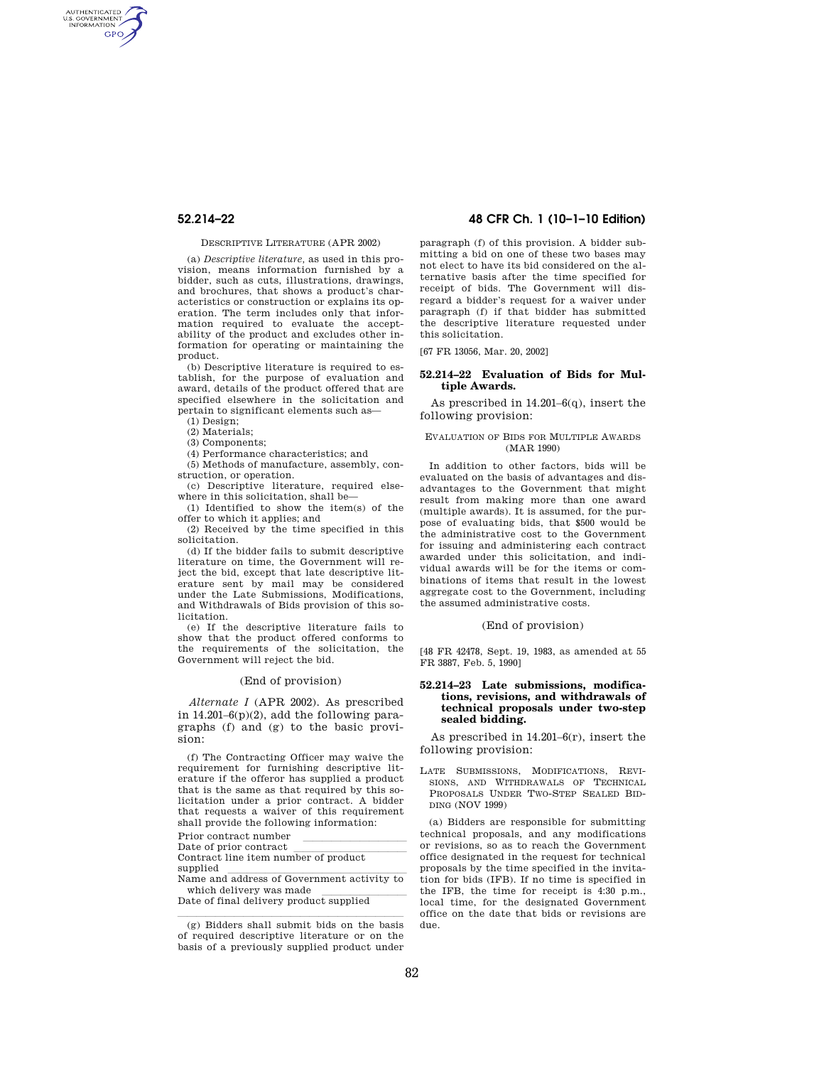AUTHENTICATED<br>U.S. GOVERNMENT<br>INFORMATION **GPO** 

## DESCRIPTIVE LITERATURE (APR 2002)

(a) *Descriptive literature,* as used in this provision, means information furnished by a bidder, such as cuts, illustrations, drawings, and brochures, that shows a product's characteristics or construction or explains its operation. The term includes only that information required to evaluate the acceptability of the product and excludes other information for operating or maintaining the product.

(b) Descriptive literature is required to establish, for the purpose of evaluation and award, details of the product offered that are specified elsewhere in the solicitation and pertain to significant elements such as—

(1) Design;

(2) Materials;

(3) Components;

(4) Performance characteristics; and

(5) Methods of manufacture, assembly, construction, or operation.

(c) Descriptive literature, required elsewhere in this solicitation, shall be—

(1) Identified to show the item(s) of the offer to which it applies; and

(2) Received by the time specified in this solicitation.

(d) If the bidder fails to submit descriptive literature on time, the Government will reject the bid, except that late descriptive literature sent by mail may be considered under the Late Submissions, Modifications, and Withdrawals of Bids provision of this solicitation.

(e) If the descriptive literature fails to show that the product offered conforms to the requirements of the solicitation, the Government will reject the bid.

## (End of provision)

*Alternate I* (APR 2002). As prescribed in 14.201–6(p)(2), add the following paragraphs (f) and (g) to the basic provision:

(f) The Contracting Officer may waive the requirement for furnishing descriptive literature if the offeror has supplied a product that is the same as that required by this solicitation under a prior contract. A bidder that requests a waiver of this requirement shall provide the following information:

Prior contract number<br>Date of prior contract

Date of prior contract<br>Contract line item number of product

supplied<br>Name and address of Government activity to

which delivery was made<br>Date of final delivery product supplied

# **52.214–22 48 CFR Ch. 1 (10–1–10 Edition)**

paragraph (f) of this provision. A bidder submitting a bid on one of these two bases may not elect to have its bid considered on the alternative basis after the time specified for receipt of bids. The Government will disregard a bidder's request for a waiver under paragraph (f) if that bidder has submitted the descriptive literature requested under this solicitation.

[67 FR 13056, Mar. 20, 2002]

## **52.214–22 Evaluation of Bids for Multiple Awards.**

As prescribed in 14.201–6(q), insert the following provision:

## EVALUATION OF BIDS FOR MULTIPLE AWARDS (MAR 1990)

In addition to other factors, bids will be evaluated on the basis of advantages and disadvantages to the Government that might result from making more than one award (multiple awards). It is assumed, for the purpose of evaluating bids, that \$500 would be the administrative cost to the Government for issuing and administering each contract awarded under this solicitation, and individual awards will be for the items or combinations of items that result in the lowest aggregate cost to the Government, including the assumed administrative costs.

## (End of provision)

[48 FR 42478, Sept. 19, 1983, as amended at 55 FR 3887, Feb. 5, 1990]

## **52.214–23 Late submissions, modifications, revisions, and withdrawals of technical proposals under two-step sealed bidding.**

As prescribed in 14.201–6(r), insert the following provision:

LATE SUBMISSIONS, MODIFICATIONS, REVI-SIONS, AND WITHDRAWALS OF TECHNICAL PROPOSALS UNDER TWO-STEP SEALED BID-DING (NOV 1999)

(a) Bidders are responsible for submitting technical proposals, and any modifications or revisions, so as to reach the Government office designated in the request for technical proposals by the time specified in the invitation for bids (IFB). If no time is specified in the IFB, the time for receipt is 4:30 p.m., local time, for the designated Government office on the date that bids or revisions are due.

 $(g)$  Bidders shall submit bids on the basis of required descriptive literature or on the basis of a previously supplied product under